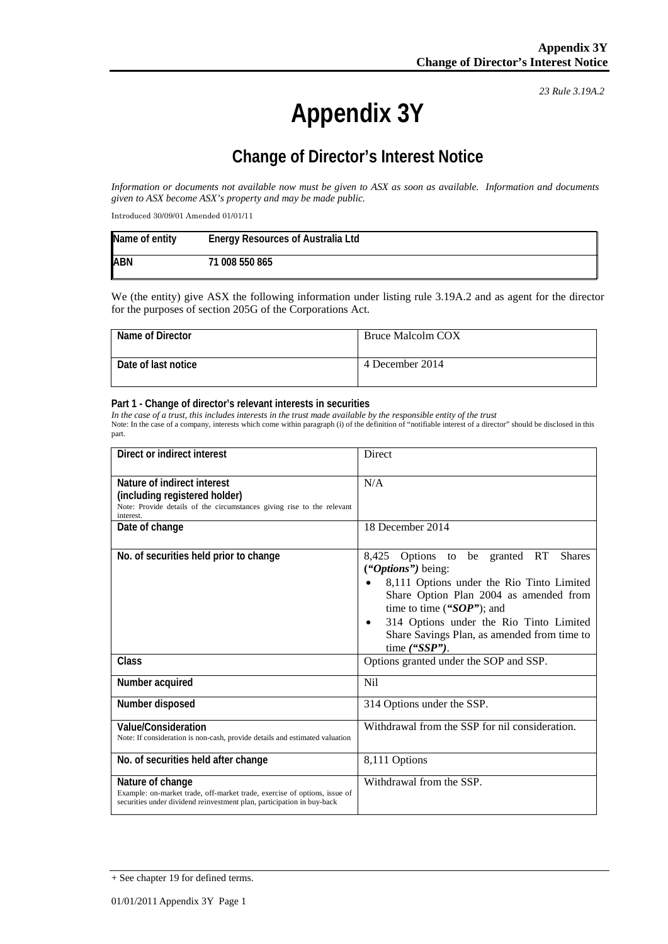*23 Rule 3.19A.2*

# **Appendix 3Y**

## **Change of Director's Interest Notice**

*Information or documents not available now must be given to ASX as soon as available. Information and documents given to ASX become ASX's property and may be made public.*

Introduced 30/09/01 Amended 01/01/11

| Name of entity | <b>Energy Resources of Australia Ltd</b> |
|----------------|------------------------------------------|
| <b>ABN</b>     | 71 008 550 865                           |

We (the entity) give ASX the following information under listing rule 3.19A.2 and as agent for the director for the purposes of section 205G of the Corporations Act.

| Name of Director    | Bruce Malcolm COX |
|---------------------|-------------------|
| Date of last notice | 4 December 2014   |

#### **Part 1 - Change of director's relevant interests in securities**

*In the case of a trust, this includes interests in the trust made available by the responsible entity of the trust* Note: In the case of a company, interests which come within paragraph (i) of the definition of "notifiable interest of a director" should be disclosed in this part.

| Direct or indirect interest                                                                                                                                             | Direct                                                                                                                                                                                                                                                                                                                      |
|-------------------------------------------------------------------------------------------------------------------------------------------------------------------------|-----------------------------------------------------------------------------------------------------------------------------------------------------------------------------------------------------------------------------------------------------------------------------------------------------------------------------|
| Nature of indirect interest<br>(including registered holder)<br>Note: Provide details of the circumstances giving rise to the relevant<br>interest.                     | N/A                                                                                                                                                                                                                                                                                                                         |
| Date of change                                                                                                                                                          | 18 December 2014                                                                                                                                                                                                                                                                                                            |
| No. of securities held prior to change                                                                                                                                  | be granted RT<br><b>Shares</b><br>8,425 Options to<br>("Options") being:<br>8,111 Options under the Rio Tinto Limited<br>Share Option Plan 2004 as amended from<br>time to time (" $SOP$ "); and<br>314 Options under the Rio Tinto Limited<br>$\bullet$<br>Share Savings Plan, as amended from time to<br>time $('SSP$ "). |
| Class                                                                                                                                                                   | Options granted under the SOP and SSP.                                                                                                                                                                                                                                                                                      |
| Number acquired                                                                                                                                                         | <b>Nil</b>                                                                                                                                                                                                                                                                                                                  |
| Number disposed                                                                                                                                                         | 314 Options under the SSP.                                                                                                                                                                                                                                                                                                  |
| <b>Value/Consideration</b><br>Note: If consideration is non-cash, provide details and estimated valuation                                                               | Withdrawal from the SSP for nil consideration.                                                                                                                                                                                                                                                                              |
| No. of securities held after change                                                                                                                                     | 8,111 Options                                                                                                                                                                                                                                                                                                               |
| Nature of change<br>Example: on-market trade, off-market trade, exercise of options, issue of<br>securities under dividend reinvestment plan, participation in buy-back | Withdrawal from the SSP.                                                                                                                                                                                                                                                                                                    |

<sup>+</sup> See chapter 19 for defined terms.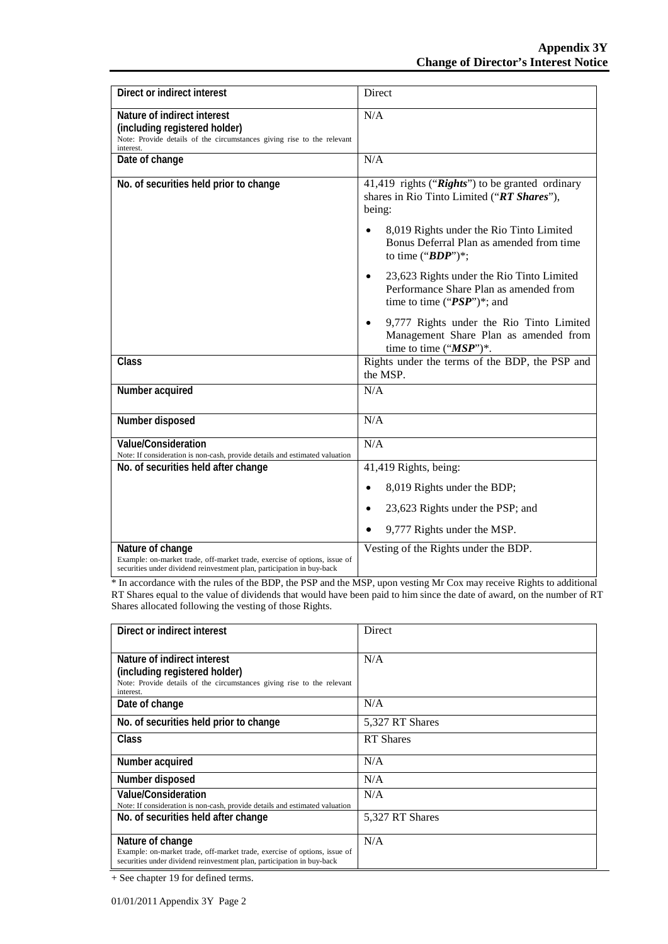| Direct or indirect interest                                                                                                                                             | Direct                                                                                                                                                                                                                                |
|-------------------------------------------------------------------------------------------------------------------------------------------------------------------------|---------------------------------------------------------------------------------------------------------------------------------------------------------------------------------------------------------------------------------------|
| Nature of indirect interest<br>(including registered holder)<br>Note: Provide details of the circumstances giving rise to the relevant<br>interest.                     | N/A                                                                                                                                                                                                                                   |
| Date of change                                                                                                                                                          | N/A                                                                                                                                                                                                                                   |
| No. of securities held prior to change                                                                                                                                  | 41,419 rights ("Rights") to be granted ordinary<br>shares in Rio Tinto Limited ("RT Shares"),<br>being:<br>8,019 Rights under the Rio Tinto Limited<br>$\bullet$<br>Bonus Deferral Plan as amended from time<br>to time (" $BDP$ ")*; |
|                                                                                                                                                                         | 23,623 Rights under the Rio Tinto Limited<br>$\bullet$<br>Performance Share Plan as amended from<br>time to time (" $PSP$ ")*; and                                                                                                    |
|                                                                                                                                                                         | 9,777 Rights under the Rio Tinto Limited<br>Management Share Plan as amended from<br>time to time (" $MSP$ ")*.                                                                                                                       |
| <b>Class</b>                                                                                                                                                            | Rights under the terms of the BDP, the PSP and<br>the MSP.                                                                                                                                                                            |
| Number acquired                                                                                                                                                         | N/A                                                                                                                                                                                                                                   |
| Number disposed                                                                                                                                                         | N/A                                                                                                                                                                                                                                   |
| Value/Consideration<br>Note: If consideration is non-cash, provide details and estimated valuation                                                                      | N/A                                                                                                                                                                                                                                   |
| No. of securities held after change                                                                                                                                     | 41,419 Rights, being:                                                                                                                                                                                                                 |
|                                                                                                                                                                         | 8,019 Rights under the BDP;<br>$\bullet$                                                                                                                                                                                              |
|                                                                                                                                                                         | 23,623 Rights under the PSP; and<br>$\bullet$                                                                                                                                                                                         |
|                                                                                                                                                                         | 9,777 Rights under the MSP.                                                                                                                                                                                                           |
| Nature of change<br>Example: on-market trade, off-market trade, exercise of options, issue of<br>securities under dividend reinvestment plan, participation in buy-back | Vesting of the Rights under the BDP.                                                                                                                                                                                                  |

\* In accordance with the rules of the BDP, the PSP and the MSP, upon vesting Mr Cox may receive Rights to additional RT Shares equal to the value of dividends that would have been paid to him since the date of award, on the number of RT Shares allocated following the vesting of those Rights.

| Direct or indirect interest                                                                                                                                             | Direct           |
|-------------------------------------------------------------------------------------------------------------------------------------------------------------------------|------------------|
| Nature of indirect interest<br>(including registered holder)<br>Note: Provide details of the circumstances giving rise to the relevant<br>interest.                     | N/A              |
| Date of change                                                                                                                                                          | N/A              |
| No. of securities held prior to change                                                                                                                                  | 5,327 RT Shares  |
| Class                                                                                                                                                                   | <b>RT</b> Shares |
| Number acquired                                                                                                                                                         | N/A              |
| Number disposed                                                                                                                                                         | N/A              |
| Value/Consideration<br>Note: If consideration is non-cash, provide details and estimated valuation                                                                      | N/A              |
| No. of securities held after change                                                                                                                                     | 5,327 RT Shares  |
| Nature of change<br>Example: on-market trade, off-market trade, exercise of options, issue of<br>securities under dividend reinvestment plan, participation in buy-back | N/A              |

+ See chapter 19 for defined terms.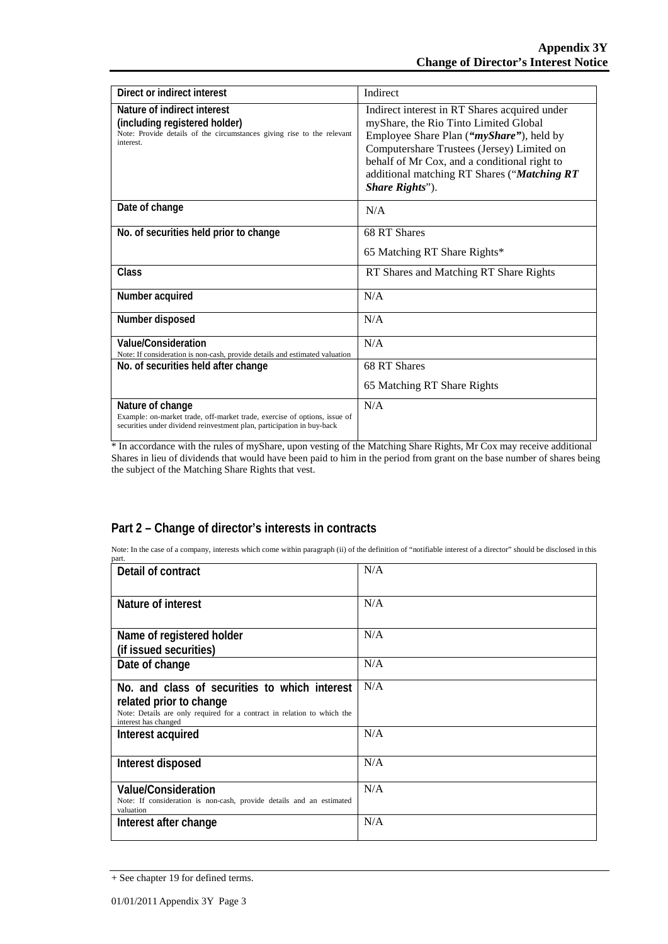| Direct or indirect interest                                                                                                                                             | Indirect                                                                                                                                                                                                                                                                                                    |
|-------------------------------------------------------------------------------------------------------------------------------------------------------------------------|-------------------------------------------------------------------------------------------------------------------------------------------------------------------------------------------------------------------------------------------------------------------------------------------------------------|
| Nature of indirect interest<br>(including registered holder)<br>Note: Provide details of the circumstances giving rise to the relevant<br>interest.                     | Indirect interest in RT Shares acquired under<br>myShare, the Rio Tinto Limited Global<br>Employee Share Plan (" <i>myShare</i> "), held by<br>Computershare Trustees (Jersey) Limited on<br>behalf of Mr Cox, and a conditional right to<br>additional matching RT Shares ("Matching RT<br>Share Rights"). |
| Date of change                                                                                                                                                          | N/A                                                                                                                                                                                                                                                                                                         |
| No. of securities held prior to change                                                                                                                                  | 68 RT Shares<br>65 Matching RT Share Rights*                                                                                                                                                                                                                                                                |
| Class                                                                                                                                                                   | RT Shares and Matching RT Share Rights                                                                                                                                                                                                                                                                      |
| Number acquired                                                                                                                                                         | N/A                                                                                                                                                                                                                                                                                                         |
| Number disposed                                                                                                                                                         | N/A                                                                                                                                                                                                                                                                                                         |
| Value/Consideration<br>Note: If consideration is non-cash, provide details and estimated valuation                                                                      | N/A                                                                                                                                                                                                                                                                                                         |
| No. of securities held after change                                                                                                                                     | 68 RT Shares                                                                                                                                                                                                                                                                                                |
|                                                                                                                                                                         | 65 Matching RT Share Rights                                                                                                                                                                                                                                                                                 |
| Nature of change<br>Example: on-market trade, off-market trade, exercise of options, issue of<br>securities under dividend reinvestment plan, participation in buy-back | N/A                                                                                                                                                                                                                                                                                                         |

\* In accordance with the rules of myShare, upon vesting of the Matching Share Rights, Mr Cox may receive additional Shares in lieu of dividends that would have been paid to him in the period from grant on the base number of shares being the subject of the Matching Share Rights that vest.

### **Part 2 – Change of director's interests in contracts**

Note: In the case of a company, interests which come within paragraph (ii) of the definition of "notifiable interest of a director" should be disclosed in this part.

| Detail of contract                                                                                                                                                          | N/A |
|-----------------------------------------------------------------------------------------------------------------------------------------------------------------------------|-----|
| Nature of interest                                                                                                                                                          | N/A |
| Name of registered holder<br>(if issued securities)                                                                                                                         | N/A |
| Date of change                                                                                                                                                              | N/A |
| No. and class of securities to which interest<br>related prior to change<br>Note: Details are only required for a contract in relation to which the<br>interest has changed | N/A |
| Interest acquired                                                                                                                                                           | N/A |
| Interest disposed                                                                                                                                                           | N/A |
| <b>Value/Consideration</b><br>Note: If consideration is non-cash, provide details and an estimated<br>valuation                                                             | N/A |
| Interest after change                                                                                                                                                       | N/A |

<sup>+</sup> See chapter 19 for defined terms.